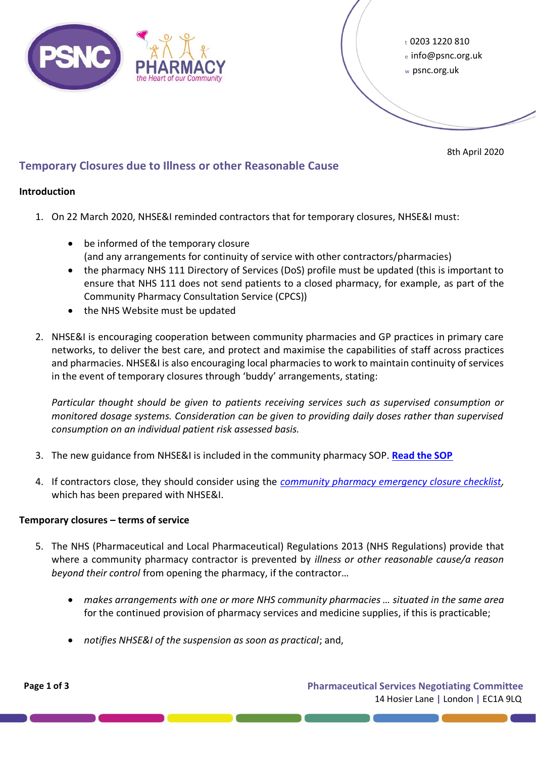



8th April 2020

# **Temporary Closures due to Illness or other Reasonable Cause**

# **Introduction**

- 1. On 22 March 2020, NHSE&I reminded contractors that for temporary closures, NHSE&I must:
	- be informed of the temporary closure (and any arrangements for continuity of service with other contractors/pharmacies)
	- the pharmacy NHS 111 Directory of Services (DoS) profile must be updated (this is important to ensure that NHS 111 does not send patients to a closed pharmacy, for example, as part of the Community Pharmacy Consultation Service (CPCS))
	- the NHS Website must be updated
- 2. NHSE&I is encouraging cooperation between community pharmacies and GP practices in primary care networks, to deliver the best care, and protect and maximise the capabilities of staff across practices and pharmacies. NHSE&I is also encouraging local pharmacies to work to maintain continuity of services in the event of temporary closures through 'buddy' arrangements, stating:

*Particular thought should be given to patients receiving services such as supervised consumption or monitored dosage systems. Consideration can be given to providing daily doses rather than supervised consumption on an individual patient risk assessed basis.*

- 3. The new guidance from NHSE&I is included in the community pharmacy SOP. **[Read the SOP](https://www.england.nhs.uk/coronavirus/wp-content/uploads/sites/52/2020/03/Novel-coronavirus-COVID-19-standard-operating-procedure-Community-Pharmacy-v2-published-22-March-2020.pdf)**
- 4. If contractors close, they should consider using the *[community pharmacy emergency closure checklist,](https://psnc.org.uk/wp-content/uploads/2020/03/Resilience-Guidance-Part-3-Emergency-Closure-.pdf)*  which has been prepared with NHSE&I.

# **Temporary closures – terms of service**

- 5. The NHS (Pharmaceutical and Local Pharmaceutical) Regulations 2013 (NHS Regulations) provide that where a community pharmacy contractor is prevented by *illness or other reasonable cause/a reason beyond their control* from opening the pharmacy, if the contractor…
	- *makes arrangements with one or more NHS community pharmacies … situated in the same area* for the continued provision of pharmacy services and medicine supplies, if this is practicable;
	- *notifies NHSE&I of the suspension as soon as practical*; and,

**Page 1 of 3 Pharmaceutical Services Negotiating Committee** 14 Hosier Lane **|** London **|** EC1A 9LQ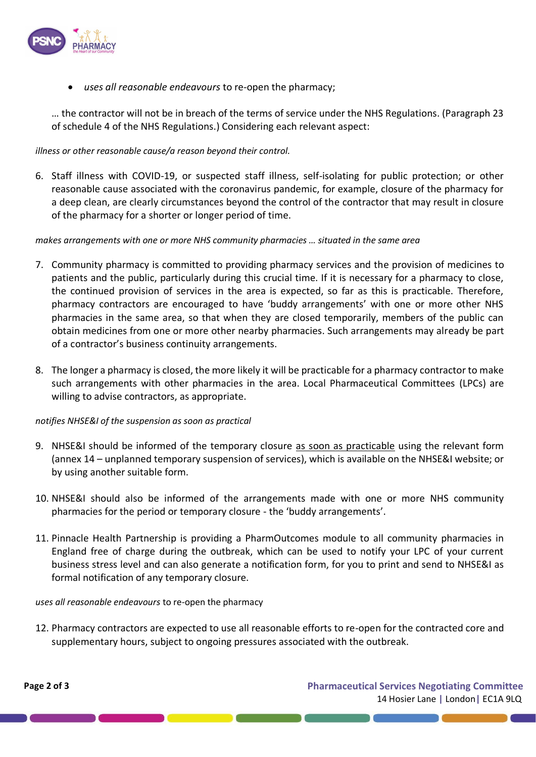

• *uses all reasonable endeavours* to re-open the pharmacy;

… the contractor will not be in breach of the terms of service under the NHS Regulations. (Paragraph 23 of schedule 4 of the NHS Regulations.) Considering each relevant aspect:

### *illness or other reasonable cause/a reason beyond their control.*

6. Staff illness with COVID-19, or suspected staff illness, self-isolating for public protection; or other reasonable cause associated with the coronavirus pandemic, for example, closure of the pharmacy for a deep clean, are clearly circumstances beyond the control of the contractor that may result in closure of the pharmacy for a shorter or longer period of time.

#### *makes arrangements with one or more NHS community pharmacies … situated in the same area*

- 7. Community pharmacy is committed to providing pharmacy services and the provision of medicines to patients and the public, particularly during this crucial time. If it is necessary for a pharmacy to close, the continued provision of services in the area is expected, so far as this is practicable. Therefore, pharmacy contractors are encouraged to have 'buddy arrangements' with one or more other NHS pharmacies in the same area, so that when they are closed temporarily, members of the public can obtain medicines from one or more other nearby pharmacies. Such arrangements may already be part of a contractor's business continuity arrangements.
- 8. The longer a pharmacy is closed, the more likely it will be practicable for a pharmacy contractor to make such arrangements with other pharmacies in the area. Local Pharmaceutical Committees (LPCs) are willing to advise contractors, as appropriate.

## *notifies NHSE&I of the suspension as soon as practical*

- 9. NHSE&I should be informed of the temporary closure as soon as practicable using the relevant form (annex 14 – unplanned temporary suspension of services), which is available on the NHSE&I website; or by using another suitable form.
- 10. NHSE&I should also be informed of the arrangements made with one or more NHS community pharmacies for the period or temporary closure - the 'buddy arrangements'.
- 11. Pinnacle Health Partnership is providing a PharmOutcomes module to all community pharmacies in England free of charge during the outbreak, which can be used to notify your LPC of your current business stress level and can also generate a notification form, for you to print and send to NHSE&I as formal notification of any temporary closure.

#### *uses all reasonable endeavours* to re-open the pharmacy

12. Pharmacy contractors are expected to use all reasonable efforts to re-open for the contracted core and supplementary hours, subject to ongoing pressures associated with the outbreak.

**Page 2 of 3 Pharmaceutical Services Negotiating Committee** 14 Hosier Lane **|** London**|** EC1A 9LQ